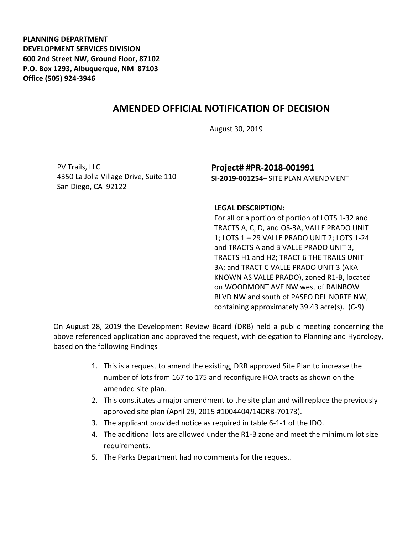**PLANNING DEPARTMENT DEVELOPMENT SERVICES DIVISION 600 2nd Street NW, Ground Floor, 87102 P.O. Box 1293, Albuquerque, NM 87103 Office (505) 924-3946** 

## **AMENDED OFFICIAL NOTIFICATION OF DECISION**

August 30, 2019

PV Trails, LLC 4350 La Jolla Village Drive, Suite 110 San Diego, CA 92122

## **Project# #PR-2018-001991 SI-2019-001254–** SITE PLAN AMENDMENT

## **LEGAL DESCRIPTION:**

For all or a portion of portion of LOTS 1-32 and TRACTS A, C, D, and OS-3A, VALLE PRADO UNIT 1; LOTS 1 – 29 VALLE PRADO UNIT 2; LOTS 1-24 and TRACTS A and B VALLE PRADO UNIT 3, TRACTS H1 and H2; TRACT 6 THE TRAILS UNIT 3A; and TRACT C VALLE PRADO UNIT 3 (AKA KNOWN AS VALLE PRADO), zoned R1-B, located on WOODMONT AVE NW west of RAINBOW BLVD NW and south of PASEO DEL NORTE NW, containing approximately 39.43 acre(s). (C-9)

On August 28, 2019 the Development Review Board (DRB) held a public meeting concerning the above referenced application and approved the request, with delegation to Planning and Hydrology, based on the following Findings

- 1. This is a request to amend the existing, DRB approved Site Plan to increase the number of lots from 167 to 175 and reconfigure HOA tracts as shown on the amended site plan.
- 2. This constitutes a major amendment to the site plan and will replace the previously approved site plan (April 29, 2015 #1004404/14DRB-70173).
- 3. The applicant provided notice as required in table 6-1-1 of the IDO.
- 4. The additional lots are allowed under the R1-B zone and meet the minimum lot size requirements.
- 5. The Parks Department had no comments for the request.